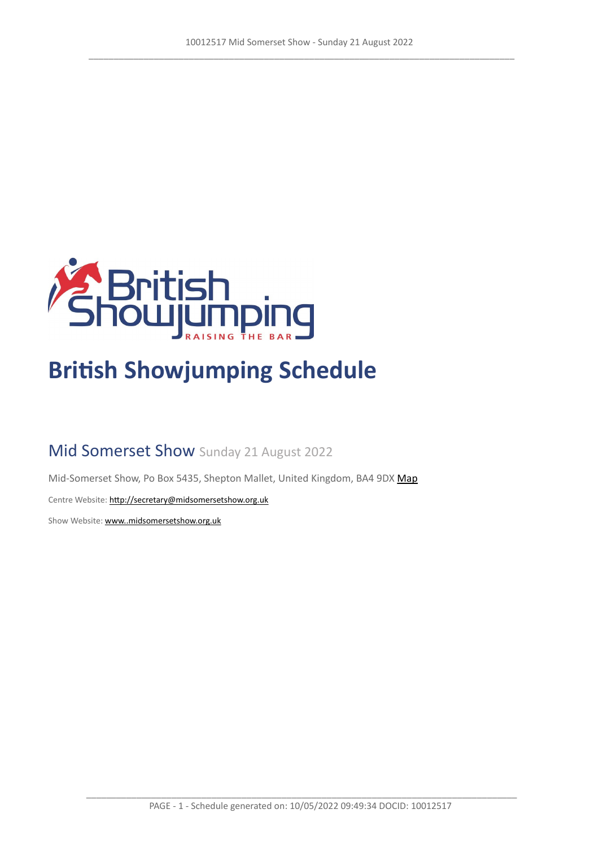

# **British Showjumping Schedule**

# Mid Somerset Show Sunday 21 August 2022

Mid-Somerset Show, Po Box 5435, Shepton Mallet, United Kingdom, BA4 9DX [Map](https://www.google.com/maps/@51.1907592,-2.5470773,16z)

Centre Website: <http://secretary@midsomersetshow.org.uk>

Show Website: www.midsomersetshow.org.uk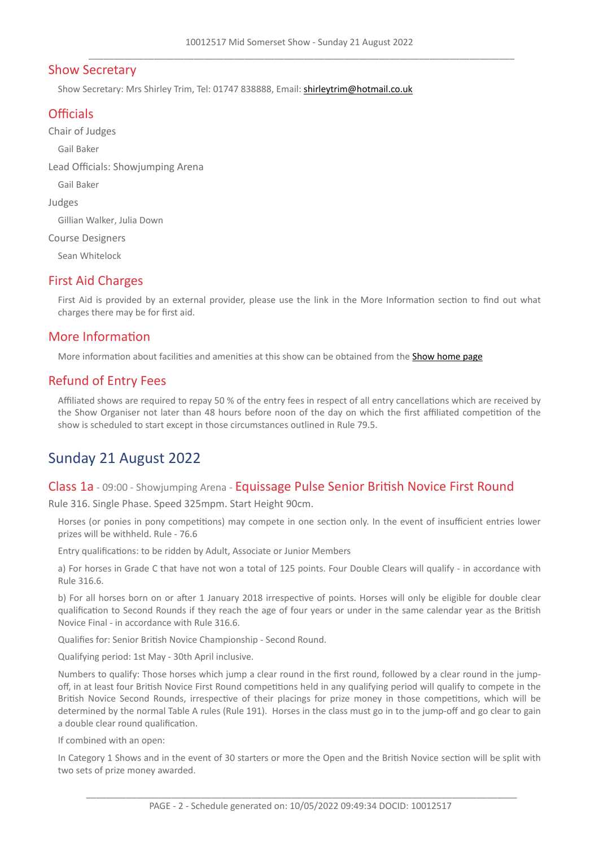## Show Secretary

Show Secretary: Mrs Shirley Trim, Tel: 01747 838888, Email: <shirleytrim@hotmail.co.uk>

# **Officials**

Chair of Judges Gail Baker Lead Officials: Showjumping Arena Gail Baker Judges Gillian Walker, Julia Down Course Designers Sean Whitelock

## First Aid Charges

First Aid is provided by an external provider, please use the link in the More Information section to find out what charges there may be for first aid.

# More Information

More information about facilities and amenities at this show can be obtained from the **[Show](www..midsomersetshow.org.uk) [home](www..midsomersetshow.org.uk) [page](www..midsomersetshow.org.uk)** 

# Refund of Entry Fees

Affiliated shows are required to repay 50 % of the entry fees in respect of all entry cancellations which are received by the Show Organiser not later than 48 hours before noon of the day on which the first affiliated competition of the show is scheduled to start except in those circumstances outlined in Rule 79.5.

# Sunday 21 August 2022

#### Class 1a - 09:00 - Showjumping Arena - Equissage Pulse Senior British Novice First Round

Rule 316. Single Phase. Speed 325mpm. Start Height 90cm.

Horses (or ponies in pony competitions) may compete in one section only. In the event of insufficient entries lower prizes will be withheld. Rule - 76.6

Entry qualifications: to be ridden by Adult, Associate or Junior Members

a) For horses in Grade C that have not won a total of 125 points. Four Double Clears will qualify - in accordance with Rule 316.6.

b) For all horses born on or after 1 January 2018 irrespective of points. Horses will only be eligible for double clear qualification to Second Rounds if they reach the age of four years or under in the same calendar year as the British Novice Final - in accordance with Rule 316.6.

Qualifies for: Senior British Novice Championship - Second Round.

Qualifying period: 1st May - 30th April inclusive.

Numbers to qualify: Those horses which jump a clear round in the first round, followed by a clear round in the jumpoff, in at least four British Novice First Round competitions held in any qualifying period will qualify to compete in the British Novice Second Rounds, irrespective of their placings for prize money in those competitions, which will be determined by the normal Table A rules (Rule 191). Horses in the class must go in to the jump-off and go clear to gain a double clear round qualification.

If combined with an open:

In Category 1 Shows and in the event of 30 starters or more the Open and the British Novice section will be split with two sets of prize money awarded.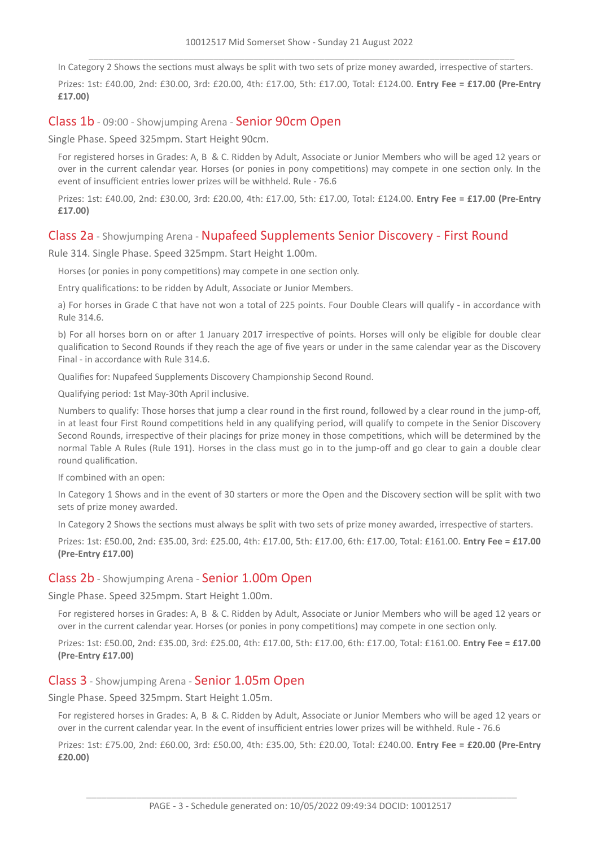In Category 2 Shows the sections must always be split with two sets of prize money awarded, irrespective of starters.

Prizes: 1st: £40.00, 2nd: £30.00, 3rd: £20.00, 4th: £17.00, 5th: £17.00, Total: £124.00. **Entry Fee = £17.00 (Pre-Entry £17.00)**

#### Class 1b - 09:00 - Showjumping Arena - Senior 90cm Open

Single Phase. Speed 325mpm. Start Height 90cm.

For registered horses in Grades: A, B & C. Ridden by Adult, Associate or Junior Members who will be aged 12 years or over in the current calendar year. Horses (or ponies in pony competitions) may compete in one section only. In the event of insufficient entries lower prizes will be withheld. Rule - 76.6

Prizes: 1st: £40.00, 2nd: £30.00, 3rd: £20.00, 4th: £17.00, 5th: £17.00, Total: £124.00. **Entry Fee = £17.00 (Pre-Entry £17.00)**

#### Class 2a - Showjumping Arena - Nupafeed Supplements Senior Discovery - First Round

Rule 314. Single Phase. Speed 325mpm. Start Height 1.00m.

Horses (or ponies in pony competitions) may compete in one section only.

Entry qualifications: to be ridden by Adult, Associate or Junior Members.

a) For horses in Grade C that have not won a total of 225 points. Four Double Clears will qualify - in accordance with Rule 314.6.

b) For all horses born on or after 1 January 2017 irrespective of points. Horses will only be eligible for double clear qualification to Second Rounds if they reach the age of five years or under in the same calendar year as the Discovery Final - in accordance with Rule 314.6.

Qualifies for: Nupafeed Supplements Discovery Championship Second Round.

Qualifying period: 1st May-30th April inclusive.

Numbers to qualify: Those horses that jump a clear round in the first round, followed by a clear round in the jump-off, in at least four First Round competitions held in any qualifying period, will qualify to compete in the Senior Discovery Second Rounds, irrespective of their placings for prize money in those competitions, which will be determined by the normal Table A Rules (Rule 191). Horses in the class must go in to the jump-off and go clear to gain a double clear round qualification.

If combined with an open:

In Category 1 Shows and in the event of 30 starters or more the Open and the Discovery section will be split with two sets of prize money awarded.

In Category 2 Shows the sections must always be split with two sets of prize money awarded, irrespective of starters.

Prizes: 1st: £50.00, 2nd: £35.00, 3rd: £25.00, 4th: £17.00, 5th: £17.00, 6th: £17.00, Total: £161.00. **Entry Fee = £17.00 (Pre-Entry £17.00)**

#### Class 2b - Showjumping Arena - Senior 1.00m Open

Single Phase. Speed 325mpm. Start Height 1.00m.

For registered horses in Grades: A, B & C. Ridden by Adult, Associate or Junior Members who will be aged 12 years or over in the current calendar year. Horses (or ponies in pony competitions) may compete in one section only.

Prizes: 1st: £50.00, 2nd: £35.00, 3rd: £25.00, 4th: £17.00, 5th: £17.00, 6th: £17.00, Total: £161.00. **Entry Fee = £17.00 (Pre-Entry £17.00)**

#### Class 3 - Showjumping Arena - Senior 1.05m Open

Single Phase. Speed 325mpm. Start Height 1.05m.

For registered horses in Grades: A, B & C. Ridden by Adult, Associate or Junior Members who will be aged 12 years or over in the current calendar year. In the event of insufficient entries lower prizes will be withheld. Rule - 76.6

Prizes: 1st: £75.00, 2nd: £60.00, 3rd: £50.00, 4th: £35.00, 5th: £20.00, Total: £240.00. **Entry Fee = £20.00 (Pre-Entry £20.00)**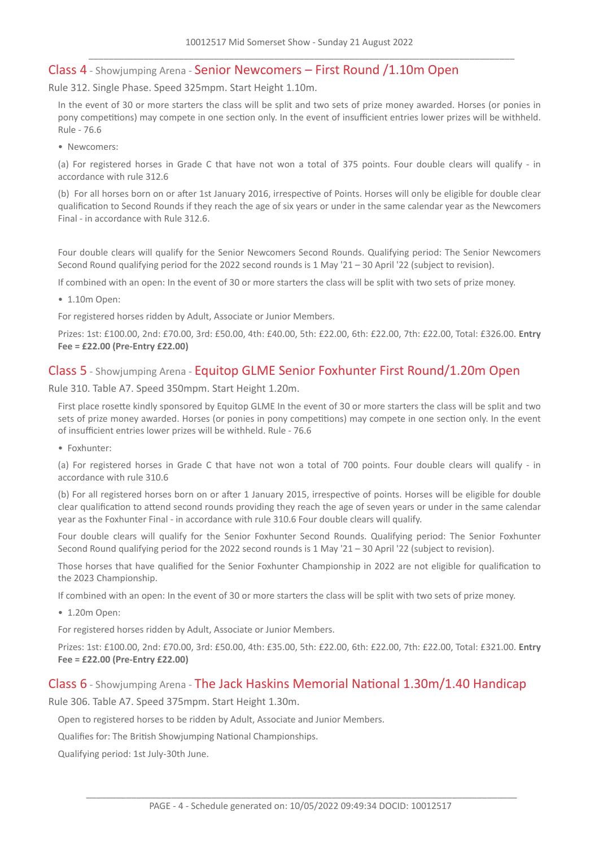#### Class 4 - Showjumping Arena - Senior Newcomers – First Round /1.10m Open

Rule 312. Single Phase. Speed 325mpm. Start Height 1.10m.

In the event of 30 or more starters the class will be split and two sets of prize money awarded. Horses (or ponies in pony competitions) may compete in one section only. In the event of insufficient entries lower prizes will be withheld. Rule - 76.6

• Newcomers:

(a) For registered horses in Grade C that have not won a total of 375 points. Four double clears will qualify - in accordance with rule 312.6

(b) For all horses born on or after 1st January 2016, irrespective of Points. Horses will only be eligible for double clear qualification to Second Rounds if they reach the age of six years or under in the same calendar year as the Newcomers Final - in accordance with Rule 312.6.

Four double clears will qualify for the Senior Newcomers Second Rounds. Qualifying period: The Senior Newcomers Second Round qualifying period for the 2022 second rounds is 1 May '21 – 30 April '22 (subject to revision).

If combined with an open: In the event of 30 or more starters the class will be split with two sets of prize money.

• 1.10m Open:

For registered horses ridden by Adult, Associate or Junior Members.

Prizes: 1st: £100.00, 2nd: £70.00, 3rd: £50.00, 4th: £40.00, 5th: £22.00, 6th: £22.00, 7th: £22.00, Total: £326.00. **Entry Fee = £22.00 (Pre-Entry £22.00)**

## Class 5 - Showjumping Arena - Equitop GLME Senior Foxhunter First Round/1.20m Open

Rule 310. Table A7. Speed 350mpm. Start Height 1.20m.

First place rosette kindly sponsored by Equitop GLME In the event of 30 or more starters the class will be split and two sets of prize money awarded. Horses (or ponies in pony competitions) may compete in one section only. In the event of insufficient entries lower prizes will be withheld. Rule - 76.6

• Foxhunter:

(a) For registered horses in Grade C that have not won a total of 700 points. Four double clears will qualify - in accordance with rule 310.6

(b) For all registered horses born on or after 1 January 2015, irrespective of points. Horses will be eligible for double clear qualification to attend second rounds providing they reach the age of seven years or under in the same calendar year as the Foxhunter Final - in accordance with rule 310.6 Four double clears will qualify.

Four double clears will qualify for the Senior Foxhunter Second Rounds. Qualifying period: The Senior Foxhunter Second Round qualifying period for the 2022 second rounds is 1 May '21 – 30 April '22 (subject to revision).

Those horses that have qualified for the Senior Foxhunter Championship in 2022 are not eligible for qualification to the 2023 Championship.

If combined with an open: In the event of 30 or more starters the class will be split with two sets of prize money.

• 1.20m Open:

For registered horses ridden by Adult, Associate or Junior Members.

Prizes: 1st: £100.00, 2nd: £70.00, 3rd: £50.00, 4th: £35.00, 5th: £22.00, 6th: £22.00, 7th: £22.00, Total: £321.00. **Entry Fee = £22.00 (Pre-Entry £22.00)**

#### Class 6 - Showjumping Arena - The Jack Haskins Memorial National 1.30m/1.40 Handicap

Rule 306. Table A7. Speed 375mpm. Start Height 1.30m.

Open to registered horses to be ridden by Adult, Associate and Junior Members.

Qualifies for: The British Showjumping National Championships.

Qualifying period: 1st July-30th June.